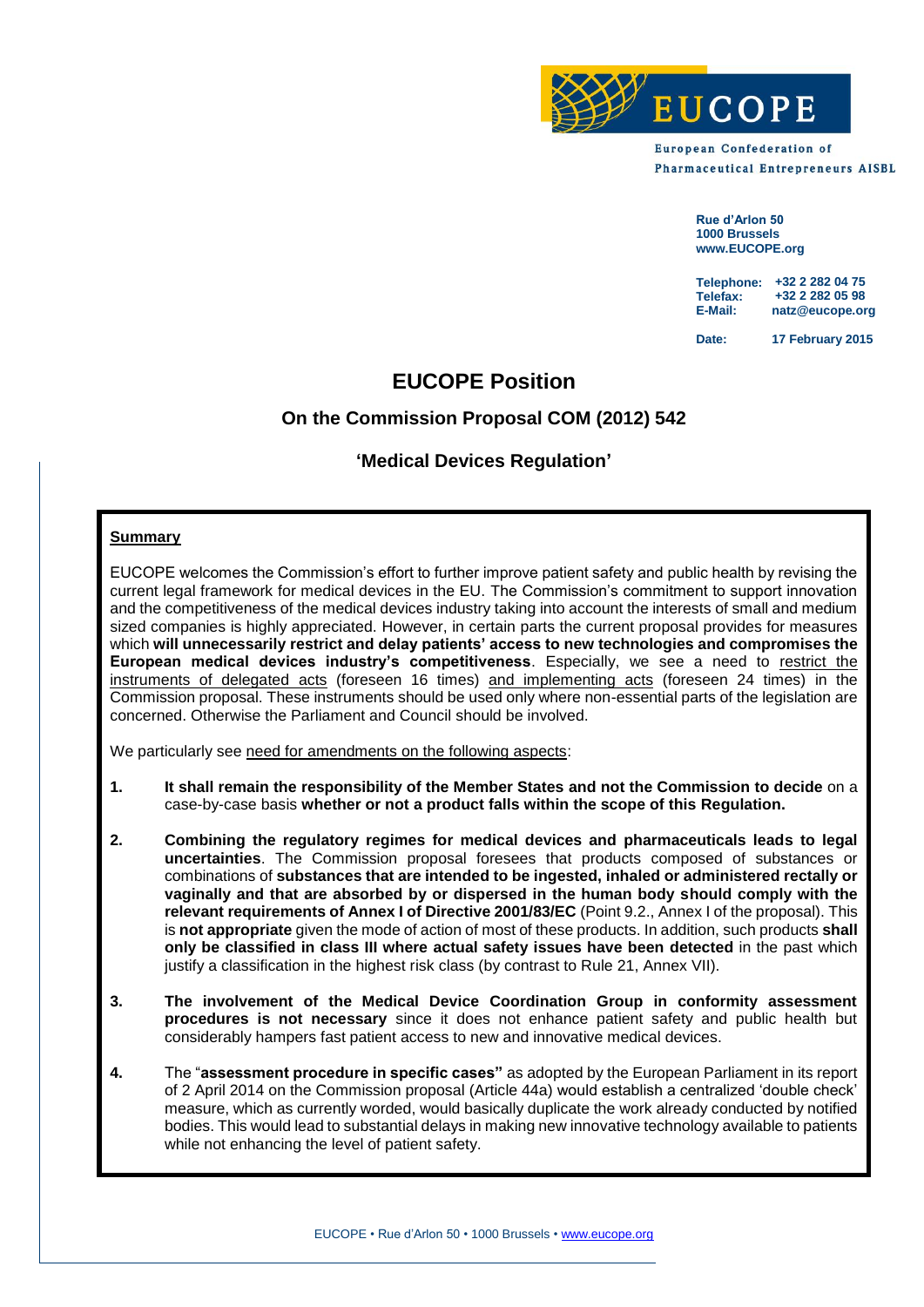

**European Confederation of Pharmaceutical Entrepreneurs AISBL** 

> **Rue d'Arlon 50 1000 Brussels www.EUCOPE.org**

**Telephone: +32 2 282 04 75 Telefax: E-Mail: natz@eucope.org +32 2 282 05 98**

**Date: 17 February 2015**

# **EUCOPE Position**

# **On the Commission Proposal COM (2012) 542**

# **'Medical Devices Regulation'**

# **Summary**

EUCOPE welcomes the Commission's effort to further improve patient safety and public health by revising the current legal framework for medical devices in the EU. The Commission's commitment to support innovation and the competitiveness of the medical devices industry taking into account the interests of small and medium sized companies is highly appreciated. However, in certain parts the current proposal provides for measures which **will unnecessarily restrict and delay patients' access to new technologies and compromises the European medical devices industry's competitiveness**. Especially, we see a need to restrict the instruments of delegated acts (foreseen 16 times) and implementing acts (foreseen 24 times) in the Commission proposal. These instruments should be used only where non-essential parts of the legislation are concerned. Otherwise the Parliament and Council should be involved.

We particularly see need for amendments on the following aspects:

- **1. It shall remain the responsibility of the Member States and not the Commission to decide** on a case-by-case basis **whether or not a product falls within the scope of this Regulation.**
- **2. Combining the regulatory regimes for medical devices and pharmaceuticals leads to legal uncertainties**. The Commission proposal foresees that products composed of substances or combinations of **substances that are intended to be ingested, inhaled or administered rectally or vaginally and that are absorbed by or dispersed in the human body should comply with the relevant requirements of Annex I of Directive 2001/83/EC** (Point 9.2., Annex I of the proposal). This is **not appropriate** given the mode of action of most of these products. In addition, such products **shall only be classified in class III where actual safety issues have been detected** in the past which justify a classification in the highest risk class (by contrast to Rule 21, Annex VII).
- **3. The involvement of the Medical Device Coordination Group in conformity assessment procedures is not necessary** since it does not enhance patient safety and public health but considerably hampers fast patient access to new and innovative medical devices.
- **4.** The "**assessment procedure in specific cases"** as adopted by the European Parliament in its report of 2 April 2014 on the Commission proposal (Article 44a) would establish a centralized 'double check' measure, which as currently worded, would basically duplicate the work already conducted by notified bodies. This would lead to substantial delays in making new innovative technology available to patients while not enhancing the level of patient safety.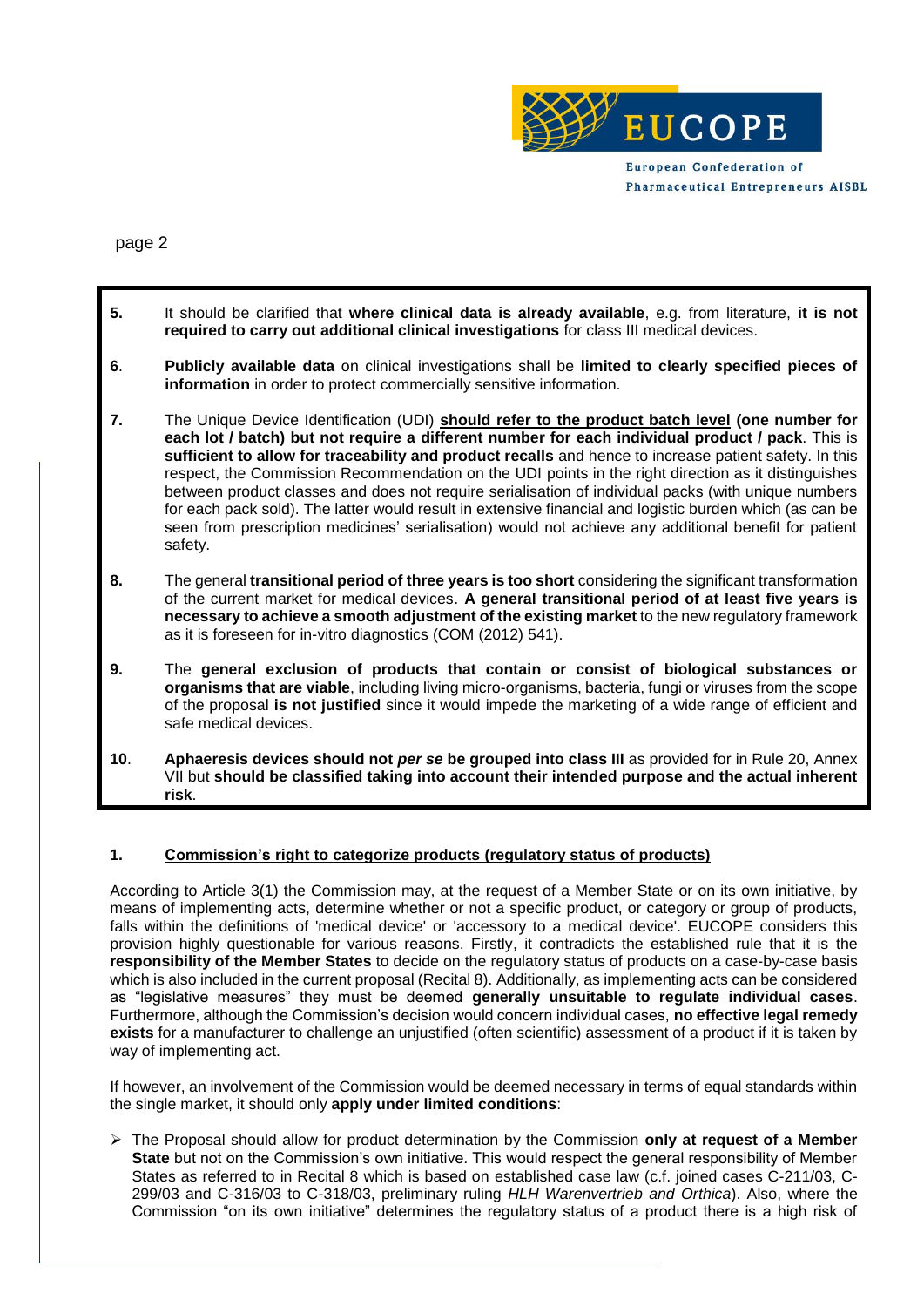

**Pharmaceutical Entrepreneurs AISBL** 

page 2

- **5.** It should be clarified that **where clinical data is already available**, e.g. from literature, **it is not required to carry out additional clinical investigations** for class III medical devices.
- **6**. **Publicly available data** on clinical investigations shall be **limited to clearly specified pieces of information** in order to protect commercially sensitive information.
- **7.** The Unique Device Identification (UDI) **should refer to the product batch level (one number for each lot / batch) but not require a different number for each individual product / pack**. This is **sufficient to allow for traceability and product recalls** and hence to increase patient safety. In this respect, the Commission Recommendation on the UDI points in the right direction as it distinguishes between product classes and does not require serialisation of individual packs (with unique numbers for each pack sold). The latter would result in extensive financial and logistic burden which (as can be seen from prescription medicines' serialisation) would not achieve any additional benefit for patient safety.
- **8.** The general **transitional period of three years is too short** considering the significant transformation of the current market for medical devices. **A general transitional period of at least five years is necessary to achieve a smooth adjustment of the existing market** to the new regulatory framework as it is foreseen for in-vitro diagnostics (COM (2012) 541).
- **9.** The **general exclusion of products that contain or consist of biological substances or organisms that are viable**, including living micro-organisms, bacteria, fungi or viruses from the scope of the proposal **is not justified** since it would impede the marketing of a wide range of efficient and safe medical devices.
- **10**. **Aphaeresis devices should not** *per se* **be grouped into class III** as provided for in Rule 20, Annex VII but **should be classified taking into account their intended purpose and the actual inherent risk**.

# **1. Commission's right to categorize products (regulatory status of products)**

According to Article 3(1) the Commission may, at the request of a Member State or on its own initiative, by means of implementing acts, determine whether or not a specific product, or category or group of products, falls within the definitions of 'medical device' or 'accessory to a medical device'. EUCOPE considers this provision highly questionable for various reasons. Firstly, it contradicts the established rule that it is the **responsibility of the Member States** to decide on the regulatory status of products on a case-by-case basis which is also included in the current proposal (Recital 8). Additionally, as implementing acts can be considered as "legislative measures" they must be deemed **generally unsuitable to regulate individual cases**. Furthermore, although the Commission's decision would concern individual cases, **no effective legal remedy exists** for a manufacturer to challenge an unjustified (often scientific) assessment of a product if it is taken by way of implementing act.

If however, an involvement of the Commission would be deemed necessary in terms of equal standards within the single market, it should only **apply under limited conditions**:

 The Proposal should allow for product determination by the Commission **only at request of a Member State** but not on the Commission's own initiative. This would respect the general responsibility of Member States as referred to in Recital 8 which is based on established case law (c.f. joined cases C-211/03, C-299/03 and C-316/03 to C-318/03, preliminary ruling *HLH Warenvertrieb and Orthica*). Also, where the Commission "on its own initiative" determines the regulatory status of a product there is a high risk of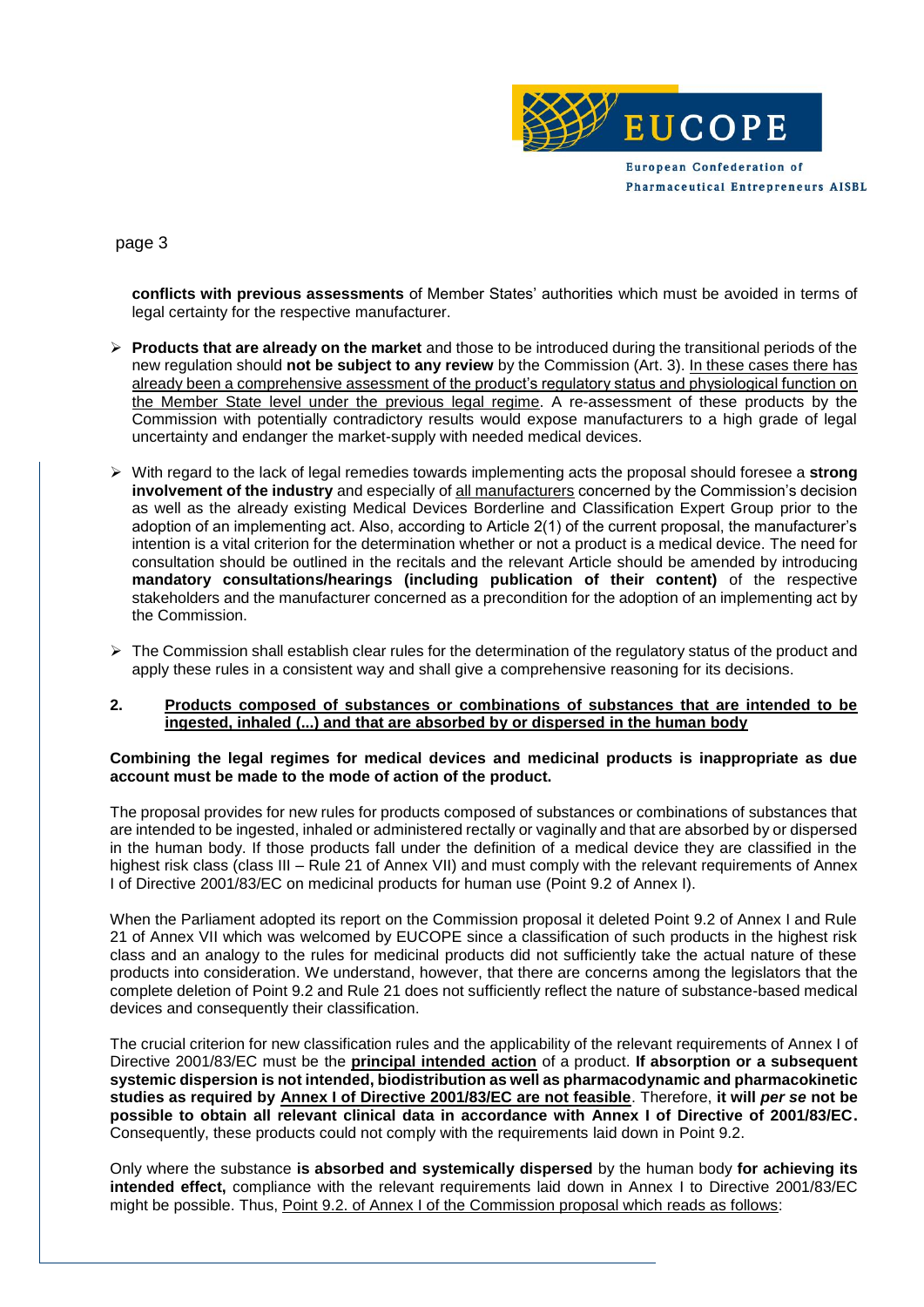

# page 3

**conflicts with previous assessments** of Member States' authorities which must be avoided in terms of legal certainty for the respective manufacturer.

- **Products that are already on the market** and those to be introduced during the transitional periods of the new regulation should **not be subject to any review** by the Commission (Art. 3). In these cases there has already been a comprehensive assessment of the product's regulatory status and physiological function on the Member State level under the previous legal regime. A re-assessment of these products by the Commission with potentially contradictory results would expose manufacturers to a high grade of legal uncertainty and endanger the market-supply with needed medical devices.
- With regard to the lack of legal remedies towards implementing acts the proposal should foresee a **strong involvement of the industry** and especially of all manufacturers concerned by the Commission's decision as well as the already existing Medical Devices Borderline and Classification Expert Group prior to the adoption of an implementing act. Also, according to Article 2(1) of the current proposal, the manufacturer's intention is a vital criterion for the determination whether or not a product is a medical device. The need for consultation should be outlined in the recitals and the relevant Article should be amended by introducing **mandatory consultations/hearings (including publication of their content)** of the respective stakeholders and the manufacturer concerned as a precondition for the adoption of an implementing act by the Commission.
- > The Commission shall establish clear rules for the determination of the regulatory status of the product and apply these rules in a consistent way and shall give a comprehensive reasoning for its decisions.

#### **2. Products composed of substances or combinations of substances that are intended to be ingested, inhaled (...) and that are absorbed by or dispersed in the human body**

## **Combining the legal regimes for medical devices and medicinal products is inappropriate as due account must be made to the mode of action of the product.**

The proposal provides for new rules for products composed of substances or combinations of substances that are intended to be ingested, inhaled or administered rectally or vaginally and that are absorbed by or dispersed in the human body. If those products fall under the definition of a medical device they are classified in the highest risk class (class III – Rule 21 of Annex VII) and must comply with the relevant requirements of Annex I of Directive 2001/83/EC on medicinal products for human use (Point 9.2 of Annex I).

When the Parliament adopted its report on the Commission proposal it deleted Point 9.2 of Annex I and Rule 21 of Annex VII which was welcomed by EUCOPE since a classification of such products in the highest risk class and an analogy to the rules for medicinal products did not sufficiently take the actual nature of these products into consideration. We understand, however, that there are concerns among the legislators that the complete deletion of Point 9.2 and Rule 21 does not sufficiently reflect the nature of substance-based medical devices and consequently their classification.

The crucial criterion for new classification rules and the applicability of the relevant requirements of Annex I of Directive 2001/83/EC must be the **principal intended action** of a product. **If absorption or a subsequent systemic dispersion is not intended, biodistribution as well as pharmacodynamic and pharmacokinetic studies as required by Annex I of Directive 2001/83/EC are not feasible**. Therefore, **it will** *per se* **not be possible to obtain all relevant clinical data in accordance with Annex I of Directive of 2001/83/EC.** Consequently, these products could not comply with the requirements laid down in Point 9.2.

Only where the substance **is absorbed and systemically dispersed** by the human body **for achieving its intended effect,** compliance with the relevant requirements laid down in Annex I to Directive 2001/83/EC might be possible. Thus, Point 9.2. of Annex I of the Commission proposal which reads as follows: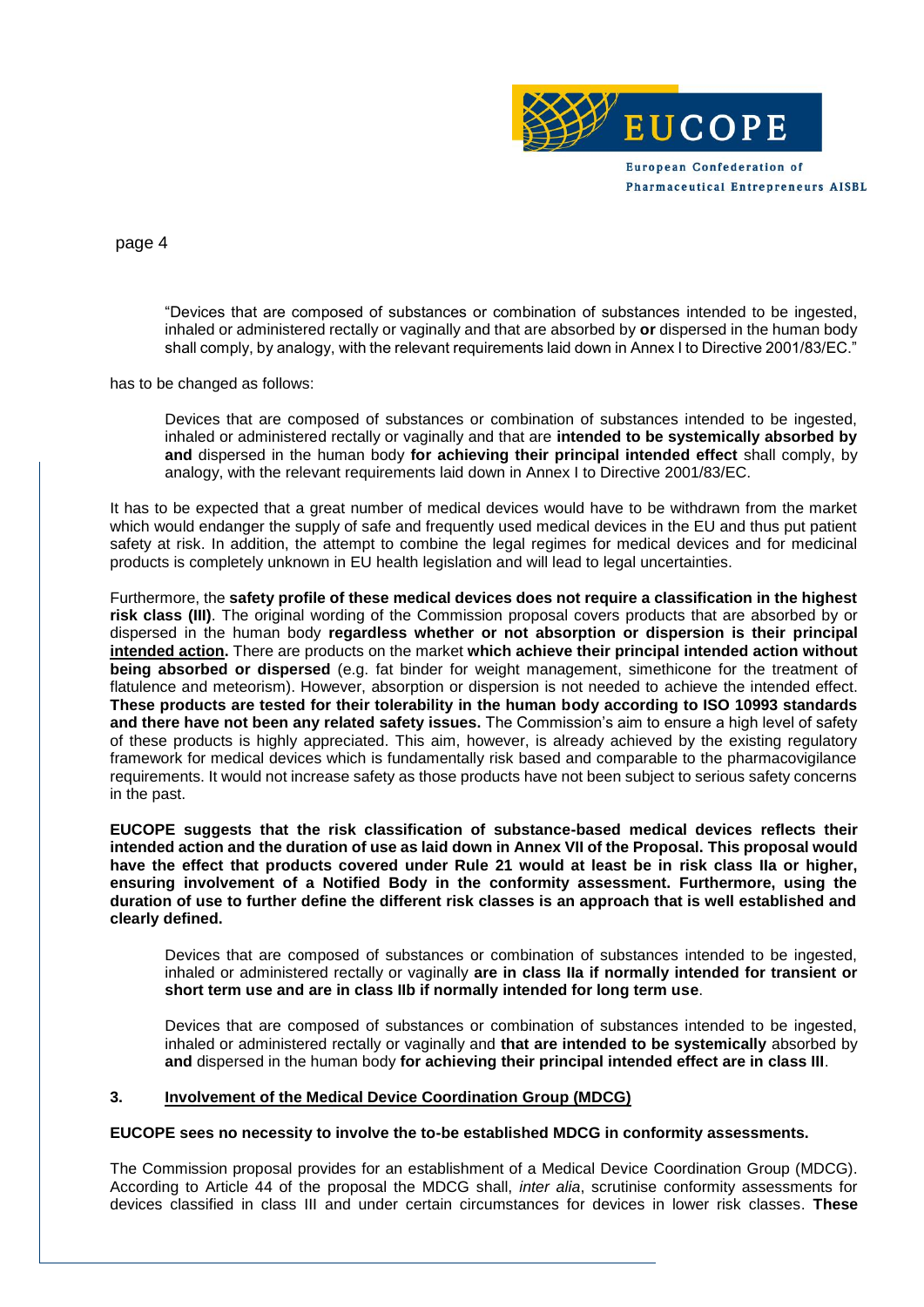

page 4

"Devices that are composed of substances or combination of substances intended to be ingested, inhaled or administered rectally or vaginally and that are absorbed by **or** dispersed in the human body shall comply, by analogy, with the relevant requirements laid down in Annex I to Directive 2001/83/EC."

has to be changed as follows:

Devices that are composed of substances or combination of substances intended to be ingested, inhaled or administered rectally or vaginally and that are **intended to be systemically absorbed by and** dispersed in the human body **for achieving their principal intended effect** shall comply, by analogy, with the relevant requirements laid down in Annex I to Directive 2001/83/EC.

It has to be expected that a great number of medical devices would have to be withdrawn from the market which would endanger the supply of safe and frequently used medical devices in the EU and thus put patient safety at risk. In addition, the attempt to combine the legal regimes for medical devices and for medicinal products is completely unknown in EU health legislation and will lead to legal uncertainties.

Furthermore, the **safety profile of these medical devices does not require a classification in the highest risk class (III)**. The original wording of the Commission proposal covers products that are absorbed by or dispersed in the human body **regardless whether or not absorption or dispersion is their principal intended action.** There are products on the market **which achieve their principal intended action without being absorbed or dispersed** (e.g. fat binder for weight management, simethicone for the treatment of flatulence and meteorism). However, absorption or dispersion is not needed to achieve the intended effect. **These products are tested for their tolerability in the human body according to ISO 10993 standards and there have not been any related safety issues.** The Commission's aim to ensure a high level of safety of these products is highly appreciated. This aim, however, is already achieved by the existing regulatory framework for medical devices which is fundamentally risk based and comparable to the pharmacovigilance requirements. It would not increase safety as those products have not been subject to serious safety concerns in the past.

**EUCOPE suggests that the risk classification of substance-based medical devices reflects their intended action and the duration of use as laid down in Annex VII of the Proposal. This proposal would have the effect that products covered under Rule 21 would at least be in risk class IIa or higher, ensuring involvement of a Notified Body in the conformity assessment. Furthermore, using the duration of use to further define the different risk classes is an approach that is well established and clearly defined.** 

Devices that are composed of substances or combination of substances intended to be ingested, inhaled or administered rectally or vaginally **are in class IIa if normally intended for transient or short term use and are in class IIb if normally intended for long term use**.

Devices that are composed of substances or combination of substances intended to be ingested, inhaled or administered rectally or vaginally and **that are intended to be systemically** absorbed by **and** dispersed in the human body **for achieving their principal intended effect are in class III**.

## **3. Involvement of the Medical Device Coordination Group (MDCG)**

#### **EUCOPE sees no necessity to involve the to-be established MDCG in conformity assessments.**

The Commission proposal provides for an establishment of a Medical Device Coordination Group (MDCG). According to Article 44 of the proposal the MDCG shall, *inter alia*, scrutinise conformity assessments for devices classified in class III and under certain circumstances for devices in lower risk classes. **These**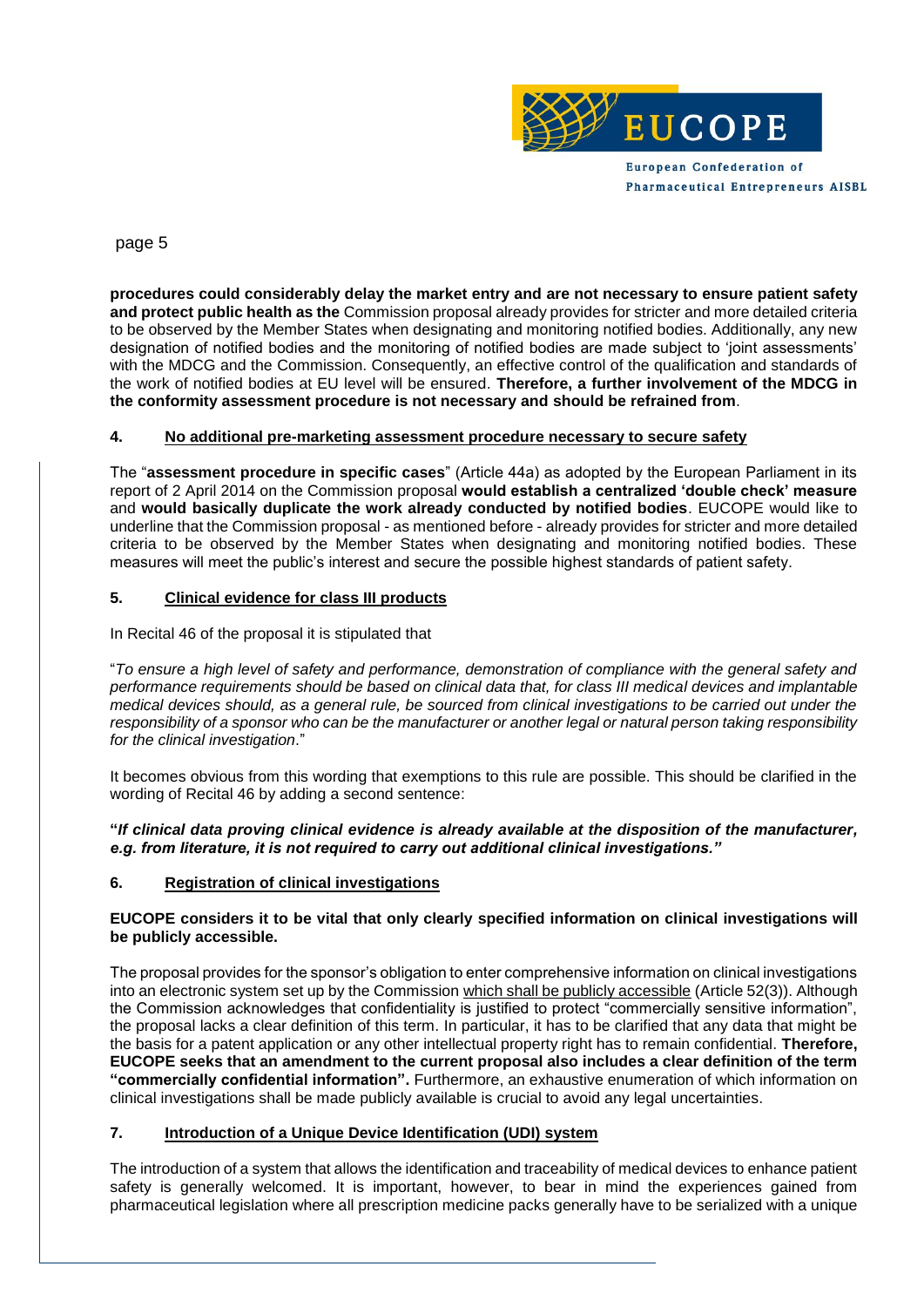

**Pharmaceutical Entrepreneurs AISBL** 

page 5

**procedures could considerably delay the market entry and are not necessary to ensure patient safety and protect public health as the** Commission proposal already provides for stricter and more detailed criteria to be observed by the Member States when designating and monitoring notified bodies. Additionally, any new designation of notified bodies and the monitoring of notified bodies are made subject to 'joint assessments' with the MDCG and the Commission. Consequently, an effective control of the qualification and standards of the work of notified bodies at EU level will be ensured. **Therefore, a further involvement of the MDCG in the conformity assessment procedure is not necessary and should be refrained from**.

# **4. No additional pre-marketing assessment procedure necessary to secure safety**

The "**assessment procedure in specific cases**" (Article 44a) as adopted by the European Parliament in its report of 2 April 2014 on the Commission proposal **would establish a centralized 'double check' measure** and **would basically duplicate the work already conducted by notified bodies**. EUCOPE would like to underline that the Commission proposal - as mentioned before - already provides for stricter and more detailed criteria to be observed by the Member States when designating and monitoring notified bodies. These measures will meet the public's interest and secure the possible highest standards of patient safety.

## **5. Clinical evidence for class III products**

In Recital 46 of the proposal it is stipulated that

"*To ensure a high level of safety and performance, demonstration of compliance with the general safety and performance requirements should be based on clinical data that, for class III medical devices and implantable medical devices should, as a general rule, be sourced from clinical investigations to be carried out under the responsibility of a sponsor who can be the manufacturer or another legal or natural person taking responsibility for the clinical investigation*."

It becomes obvious from this wording that exemptions to this rule are possible. This should be clarified in the wording of Recital 46 by adding a second sentence:

**"***If clinical data proving clinical evidence is already available at the disposition of the manufacturer, e.g. from literature, it is not required to carry out additional clinical investigations."*

## **6. Registration of clinical investigations**

## **EUCOPE considers it to be vital that only clearly specified information on clinical investigations will be publicly accessible.**

The proposal provides for the sponsor's obligation to enter comprehensive information on clinical investigations into an electronic system set up by the Commission which shall be publicly accessible (Article 52(3)). Although the Commission acknowledges that confidentiality is justified to protect "commercially sensitive information", the proposal lacks a clear definition of this term. In particular, it has to be clarified that any data that might be the basis for a patent application or any other intellectual property right has to remain confidential. **Therefore, EUCOPE seeks that an amendment to the current proposal also includes a clear definition of the term "commercially confidential information".** Furthermore, an exhaustive enumeration of which information on clinical investigations shall be made publicly available is crucial to avoid any legal uncertainties.

## **7. Introduction of a Unique Device Identification (UDI) system**

The introduction of a system that allows the identification and traceability of medical devices to enhance patient safety is generally welcomed. It is important, however, to bear in mind the experiences gained from pharmaceutical legislation where all prescription medicine packs generally have to be serialized with a unique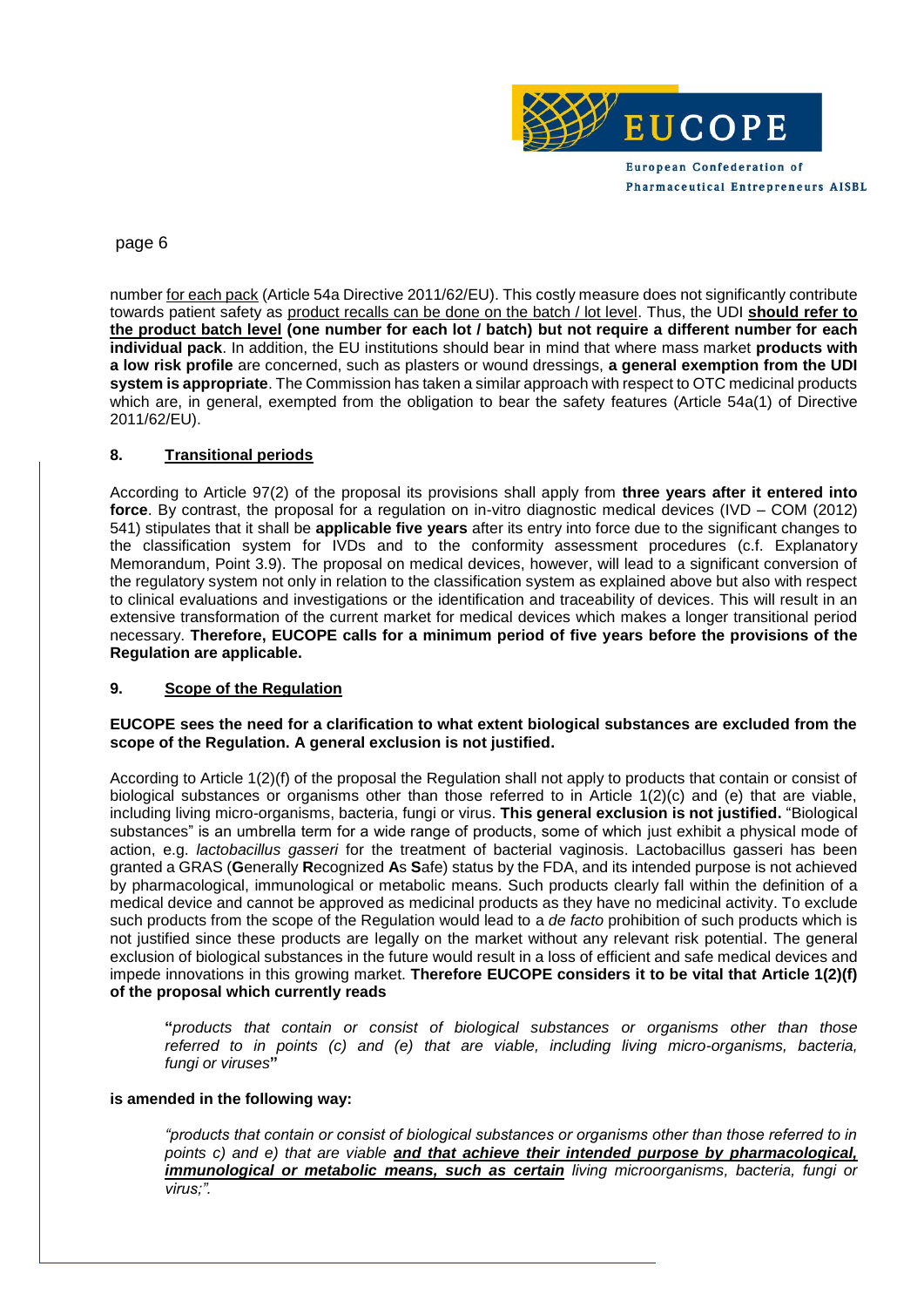

# page 6

number for each pack (Article 54a Directive 2011/62/EU). This costly measure does not significantly contribute towards patient safety as product recalls can be done on the batch / lot level. Thus, the UDI **should refer to the product batch level (one number for each lot / batch) but not require a different number for each individual pack**. In addition, the EU institutions should bear in mind that where mass market **products with a low risk profile** are concerned, such as plasters or wound dressings, **a general exemption from the UDI system is appropriate**. The Commission has taken a similar approach with respect to OTC medicinal products which are, in general, exempted from the obligation to bear the safety features (Article 54a(1) of Directive 2011/62/EU).

# **8. Transitional periods**

According to Article 97(2) of the proposal its provisions shall apply from **three years after it entered into force**. By contrast, the proposal for a regulation on in-vitro diagnostic medical devices (IVD – COM (2012) 541) stipulates that it shall be **applicable five years** after its entry into force due to the significant changes to the classification system for IVDs and to the conformity assessment procedures (c.f. Explanatory Memorandum, Point 3.9). The proposal on medical devices, however, will lead to a significant conversion of the regulatory system not only in relation to the classification system as explained above but also with respect to clinical evaluations and investigations or the identification and traceability of devices. This will result in an extensive transformation of the current market for medical devices which makes a longer transitional period necessary. **Therefore, EUCOPE calls for a minimum period of five years before the provisions of the Regulation are applicable.** 

# **9. Scope of the Regulation**

## **EUCOPE sees the need for a clarification to what extent biological substances are excluded from the scope of the Regulation. A general exclusion is not justified.**

According to Article 1(2)(f) of the proposal the Regulation shall not apply to products that contain or consist of biological substances or organisms other than those referred to in Article 1(2)(c) and (e) that are viable, including living micro-organisms, bacteria, fungi or virus. **This general exclusion is not justified.** "Biological substances" is an umbrella term for a wide range of products, some of which just exhibit a physical mode of action, e.g. *lactobacillus gasseri* for the treatment of bacterial vaginosis. Lactobacillus gasseri has been granted a GRAS (**G**enerally **R**ecognized **A**s **S**afe) status by the FDA, and its intended purpose is not achieved by pharmacological, immunological or metabolic means. Such products clearly fall within the definition of a medical device and cannot be approved as medicinal products as they have no medicinal activity. To exclude such products from the scope of the Regulation would lead to a *de facto* prohibition of such products which is not justified since these products are legally on the market without any relevant risk potential. The general exclusion of biological substances in the future would result in a loss of efficient and safe medical devices and impede innovations in this growing market. **Therefore EUCOPE considers it to be vital that Article 1(2)(f) of the proposal which currently reads** 

**"***products that contain or consist of biological substances or organisms other than those referred to in points (c) and (e) that are viable, including living micro-organisms, bacteria, fungi or viruses***"**

## **is amended in the following way:**

*"products that contain or consist of biological substances or organisms other than those referred to in points c) and e) that are viable and that achieve their intended purpose by pharmacological, immunological or metabolic means, such as certain living microorganisms, bacteria, fungi or virus;".*